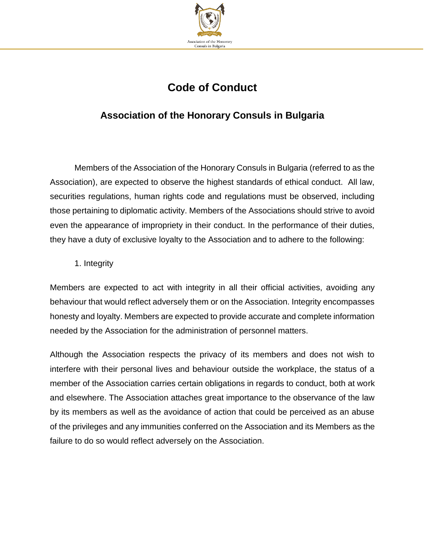

# **Code of Conduct**

## **Association of the Honorary Consuls in Bulgaria**

Members of the Association of the Honorary Consuls in Bulgaria (referred to as the Association), are expected to observe the highest standards of ethical conduct. All law, securities regulations, human rights code and regulations must be observed, including those pertaining to diplomatic activity. Members of the Associations should strive to avoid even the appearance of impropriety in their conduct. In the performance of their duties, they have a duty of exclusive loyalty to the Association and to adhere to the following:

1. Integrity

Members are expected to act with integrity in all their official activities, avoiding any behaviour that would reflect adversely them or on the Association. Integrity encompasses honesty and loyalty. Members are expected to provide accurate and complete information needed by the Association for the administration of personnel matters.

Although the Association respects the privacy of its members and does not wish to interfere with their personal lives and behaviour outside the workplace, the status of a member of the Association carries certain obligations in regards to conduct, both at work and elsewhere. The Association attaches great importance to the observance of the law by its members as well as the avoidance of action that could be perceived as an abuse of the privileges and any immunities conferred on the Association and its Members as the failure to do so would reflect adversely on the Association.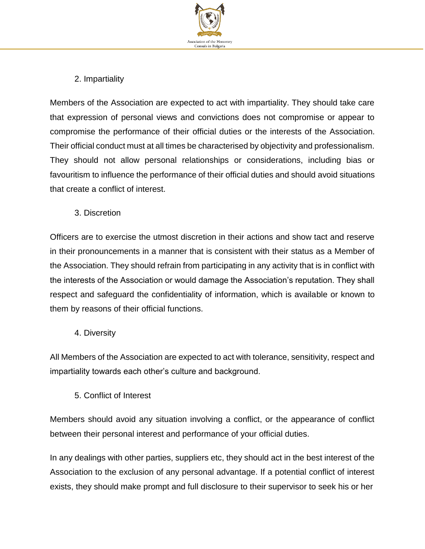

### 2. Impartiality

Members of the Association are expected to act with impartiality. They should take care that expression of personal views and convictions does not compromise or appear to compromise the performance of their official duties or the interests of the Association. Their official conduct must at all times be characterised by objectivity and professionalism. They should not allow personal relationships or considerations, including bias or favouritism to influence the performance of their official duties and should avoid situations that create a conflict of interest.

3. Discretion

Officers are to exercise the utmost discretion in their actions and show tact and reserve in their pronouncements in a manner that is consistent with their status as a Member of the Association. They should refrain from participating in any activity that is in conflict with the interests of the Association or would damage the Association's reputation. They shall respect and safeguard the confidentiality of information, which is available or known to them by reasons of their official functions.

4. Diversity

All Members of the Association are expected to act with tolerance, sensitivity, respect and impartiality towards each other's culture and background.

5. Conflict of Interest

Members should avoid any situation involving a conflict, or the appearance of conflict between their personal interest and performance of your official duties.

In any dealings with other parties, suppliers etc, they should act in the best interest of the Association to the exclusion of any personal advantage. If a potential conflict of interest exists, they should make prompt and full disclosure to their supervisor to seek his or her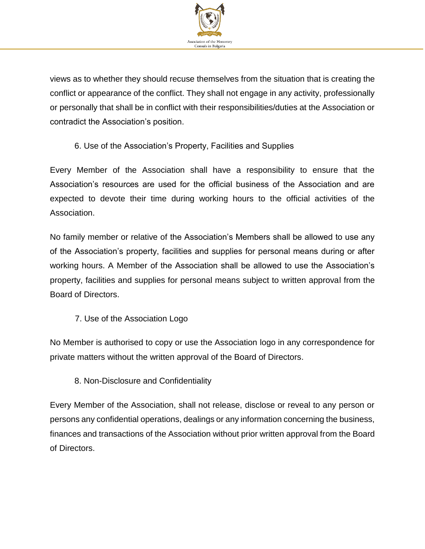

views as to whether they should recuse themselves from the situation that is creating the conflict or appearance of the conflict. They shall not engage in any activity, professionally or personally that shall be in conflict with their responsibilities/duties at the Association or contradict the Association's position.

#### 6. Use of the Association's Property, Facilities and Supplies

Every Member of the Association shall have a responsibility to ensure that the Association's resources are used for the official business of the Association and are expected to devote their time during working hours to the official activities of the Association.

No family member or relative of the Association's Members shall be allowed to use any of the Association's property, facilities and supplies for personal means during or after working hours. A Member of the Association shall be allowed to use the Association's property, facilities and supplies for personal means subject to written approval from the Board of Directors.

7. Use of the Association Logo

No Member is authorised to copy or use the Association logo in any correspondence for private matters without the written approval of the Board of Directors.

#### 8. Non-Disclosure and Confidentiality

Every Member of the Association, shall not release, disclose or reveal to any person or persons any confidential operations, dealings or any information concerning the business, finances and transactions of the Association without prior written approval from the Board of Directors.